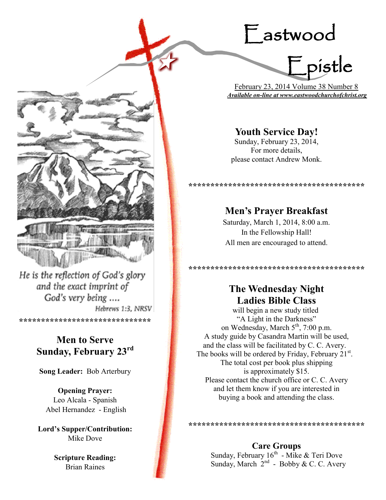# Eastwood



 February 23, 2014 Volume 38 Number 8 *Available on-line at www.eastwoodchurchofchrist.org*

## **Youth Service Day!**

Sunday, February 23, 2014, For more details, please contact Andrew Monk.

**\*\*\*\*\*\*\*\*\*\*\*\*\*\*\*\*\*\*\*\*\*\*\*\*\*\*\*\*\*\*\*\*\*\*\*\*\*\*\*\***

## **Men's Prayer Breakfast**

Saturday, March 1, 2014, 8:00 a.m. In the Fellowship Hall! All men are encouraged to attend.

**\*\*\*\*\*\*\*\*\*\*\*\*\*\*\*\*\*\*\*\*\*\*\*\*\*\*\*\*\*\*\*\*\*\*\*\*\*\*\*\***

## **The Wednesday Night Ladies Bible Class**

will begin a new study titled "A Light in the Darkness" on Wednesday, March 5<sup>th</sup>, 7:00 p.m. A study guide by Casandra Martin will be used, and the class will be facilitated by C. C. Avery. The books will be ordered by Friday, February  $21^{st}$ . The total cost per book plus shipping is approximately \$15. Please contact the church office or C. C. Avery and let them know if you are interested in buying a book and attending the class.

**\*\*\*\*\*\*\*\*\*\*\*\*\*\*\*\*\*\*\*\*\*\*\*\*\*\*\*\*\*\*\*\*\*\*\*\*\*\*\*\***

**Care Groups** Sunday, February  $16^{th}$  - Mike & Teri Dove Sunday, March  $2^{nd}$  - Bobby & C. C. Avery

He is the reflection of God's glory and the exact imprint of God's very being .... Hebrews 1:3, NRSV

**\*\*\*\*\*\*\*\*\*\*\*\*\*\*\*\*\*\*\*\*\*\*\*\*\*\*\*\*\*\***

## **Men to Serve Sunday, February 23rd**

**Song Leader:** Bob Arterbury

**Opening Prayer:** Leo Alcala - Spanish Abel Hernandez - English

**Lord's Supper/Contribution:**  Mike Dove

> **Scripture Reading:**  Brian Raines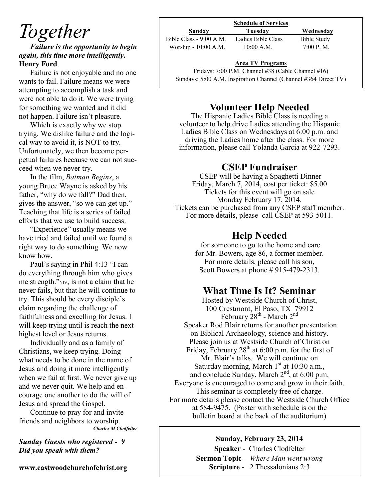# *Together*

*Failure is the opportunity to begin again, this time more intelligently***. Henry Ford**.

Failure is not enjoyable and no one wants to fail. Failure means we were attempting to accomplish a task and were not able to do it. We were trying for something we wanted and it did not happen. Failure isn't pleasure.

Which is exactly why we stop trying. We dislike failure and the logical way to avoid it, is NOT to try. Unfortunately, we then become perpetual failures because we can not succeed when we never try.

In the film, *Batman Begins*, a young Bruce Wayne is asked by his father, "why do we fall?" Dad then, gives the answer, "so we can get up." Teaching that life is a series of failed efforts that we use to build success.

"Experience" usually means we have tried and failed until we found a right way to do something. We now know how.

Paul's saying in Phil 4:13 "I can do everything through him who gives me strength."NIV, is not a claim that he never fails, but that he will continue to try. This should be every disciple's claim regarding the challenge of faithfulness and excelling for Jesus. I will keep trying until is reach the next highest level or Jesus returns.

Individually and as a family of Christians, we keep trying. Doing what needs to be done in the name of Jesus and doing it more intelligently when we fail at first. We never give up and we never quit. We help and encourage one another to do the will of Jesus and spread the Gospel.

Continue to pray for and invite friends and neighbors to worship. *Charles M Clodfelter*

*Sunday Guests who registered - 9 Did you speak with them?*

**www.eastwoodchurchofchrist.org**

| Sunday                   | Tuesday            | Wednesday   |
|--------------------------|--------------------|-------------|
| Bible Class $-9:00$ A.M. | Ladies Bible Class | Bible Study |
| Worship - 10:00 A.M.     | $10:00$ A.M.       | 7:00 P. M.  |

### $\frac{P}{e}$ **Area TV Programs**

Fridays: 7:00 P.M. Channel #38 (Cable Channel #16) Sundays: 5:00 A.M. Inspiration Channel (Channel #364 Direct TV)

## **Volunteer Help Needed**

The Hispanic Ladies Bible Class is needing a volunteer to help drive Ladies attending the Hispanic Ladies Bible Class on Wednesdays at 6:00 p.m. and driving the Ladies home after the class. For more information, please call Yolanda Garcia at 922-7293.

## **CSEP Fundraiser**

CSEP will be having a Spaghetti Dinner Friday, March 7, 2014, cost per ticket: \$5.00 Tickets for this event will go on sale Monday February 17, 2014. Tickets can be purchased from any CSEP staff member. For more details, please call CSEP at 593-5011.

## **Help Needed**

for someone to go to the home and care for Mr. Bowers, age 86, a former member. For more details, please call his son, Scott Bowers at phone # 915-479-2313.

## **What Time Is It? Seminar**

Hosted by Westside Church of Christ, 100 Crestmont, El Paso, TX 79912 February  $28^{th}$  - March  $2^{nd}$ Speaker Rod Blair returns for another presentation on Biblical Archaeology, science and history. Please join us at Westside Church of Christ on Friday, February  $28<sup>th</sup>$  at 6:00 p.m. for the first of Mr. Blair's talks. We will continue on Saturday morning, March  $1<sup>st</sup>$  at 10:30 a.m., and conclude Sunday, March  $2<sup>nd</sup>$ , at 6:00 p.m. Everyone is encouraged to come and grow in their faith. This seminar is completely free of charge. For more details please contact the Westside Church Office at 584-9475. (Poster with schedule is on the bulletin board at the back of the auditorium)

### **Sunday, February 23, 2014**

**Speaker** - Charles Clodfelter **Sermon Topic** - *Where Man went wrong*  **Scripture** - 2 Thessalonians 2:3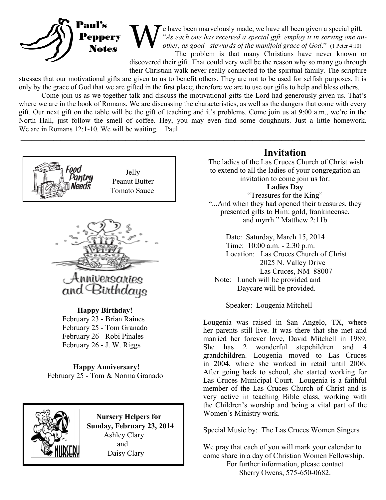

W e have been marvelously made, we have all been given a special gift. "*As each one has received a special gift, employ it in serving one another, as good stewards of the manifold grace of God*." (1 Peter 4:10)

The problem is that many Christians have never known or discovered their gift. That could very well be the reason why so many go through their Christian walk never really connected to the spiritual family. The scripture

stresses that our motivational gifts are given to us to benefit others. They are not to be used for selfish purposes. It is only by the grace of God that we are gifted in the first place; therefore we are to use our gifts to help and bless others.

Come join us as we together talk and discuss the motivational gifts the Lord had generously given us. That's where we are in the book of Romans. We are discussing the characteristics, as well as the dangers that come with every gift. Our next gift on the table will be the gift of teaching and it's problems. Come join us at 9:00 a.m., we're in the North Hall, just follow the smell of coffee. Hey, you may even find some doughnuts. Just a little homework. We are in Romans 12:1-10. We will be waiting. Paul

 $\mathcal{L}_\mathcal{L} = \mathcal{L}_\mathcal{L} = \mathcal{L}_\mathcal{L} = \mathcal{L}_\mathcal{L} = \mathcal{L}_\mathcal{L} = \mathcal{L}_\mathcal{L} = \mathcal{L}_\mathcal{L} = \mathcal{L}_\mathcal{L} = \mathcal{L}_\mathcal{L} = \mathcal{L}_\mathcal{L} = \mathcal{L}_\mathcal{L} = \mathcal{L}_\mathcal{L} = \mathcal{L}_\mathcal{L} = \mathcal{L}_\mathcal{L} = \mathcal{L}_\mathcal{L} = \mathcal{L}_\mathcal{L} = \mathcal{L}_\mathcal{L}$ 





#### **Happy Birthday!**

 February 23 - Brian Raines February 25 - Tom Granado February 26 - Robi Pinales February 26 - J. W. Riggs

**Happy Anniversary!** February 25 - Tom & Norma Granado



 **Nursery Helpers for Sunday, February 23, 2014** Ashley Clary and Daisy Clary

### **Invitation**

The ladies of the Las Cruces Church of Christ wish to extend to all the ladies of your congregation an invitation to come join us for:

**Ladies Day**

"Treasures for the King" "...And when they had opened their treasures, they presented gifts to Him: gold, frankincense, and myrrh." Matthew 2:11b

Date: Saturday, March 15, 2014 Time: 10:00 a.m. - 2:30 p.m. Location: Las Cruces Church of Christ 2025 N. Valley Drive Las Cruces, NM 88007 Note: Lunch will be provided and Daycare will be provided.

Speaker: Lougenia Mitchell

Lougenia was raised in San Angelo, TX, where her parents still live. It was there that she met and married her forever love, David Mitchell in 1989. She has 2 wonderful stepchildren and 4 grandchildren. Lougenia moved to Las Cruces in 2004, where she worked in retail until 2006. After going back to school, she started working for Las Cruces Municipal Court. Lougenia is a faithful member of the Las Cruces Church of Christ and is very active in teaching Bible class, working with the Children's worship and being a vital part of the Women's Ministry work.

Special Music by: The Las Cruces Women Singers

We pray that each of you will mark your calendar to come share in a day of Christian Women Fellowship. For further information, please contact Sherry Owens, 575-650-0682.